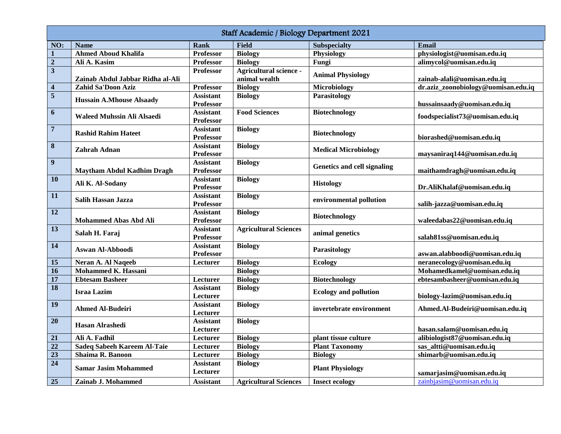| Staff Academic / Biology Department 2021 |                                   |                  |                              |                              |                                     |  |  |  |  |
|------------------------------------------|-----------------------------------|------------------|------------------------------|------------------------------|-------------------------------------|--|--|--|--|
| NO:                                      | <b>Name</b>                       | <b>Rank</b>      | <b>Field</b>                 | <b>Subspecialty</b>          | <b>Email</b>                        |  |  |  |  |
| $\mathbf{1}$                             | <b>Ahmed Aboud Khalifa</b>        | <b>Professor</b> | <b>Biology</b>               | Physiology                   | physiologist@uomisan.edu.iq         |  |  |  |  |
| $\mathbf 2$                              | Ali A. Kasim                      | <b>Professor</b> | <b>Biology</b>               | Fungi                        | alimycol@uomisan.edu.iq             |  |  |  |  |
| $\overline{\mathbf{3}}$                  |                                   | <b>Professor</b> | Agricultural science -       |                              |                                     |  |  |  |  |
|                                          | Zainab Abdul Jabbar Ridha al-Ali  |                  | animal wealth                | <b>Animal Physiology</b>     | zainab-alali@uomisan.edu.iq         |  |  |  |  |
| $\overline{\mathbf{4}}$                  | Zahid Sa'Doon Aziz                | <b>Professor</b> | <b>Biology</b>               | Microbiology                 | dr.aziz_zoonobiology@uomisan.edu.iq |  |  |  |  |
| $\sqrt{5}$                               |                                   | <b>Assistant</b> | <b>Biology</b>               | Parasitology                 |                                     |  |  |  |  |
|                                          | <b>Hussain A.Mhouse Alsaady</b>   | Professor        |                              |                              | hussainsaady@uomisan.edu.iq         |  |  |  |  |
| $\boldsymbol{6}$                         |                                   | <b>Assistant</b> | <b>Food Sciences</b>         | <b>Biotechnology</b>         |                                     |  |  |  |  |
|                                          | Waleed Muhssin Ali Alsaedi        | Professor        |                              |                              | foodspecialist73@uomisan.edu.iq     |  |  |  |  |
| $\overline{\mathbf{7}}$                  |                                   | <b>Assistant</b> | <b>Biology</b>               | <b>Biotechnology</b>         |                                     |  |  |  |  |
|                                          | <b>Rashid Rahim Hateet</b>        | Professor        |                              |                              | biorashed@uomisan.edu.iq            |  |  |  |  |
| $\bf 8$                                  |                                   | <b>Assistant</b> | <b>Biology</b>               |                              |                                     |  |  |  |  |
|                                          | Zahrah Adnan                      | Professor        |                              | <b>Medical Microbiology</b>  | maysaniraq144@uomisan.edu.iq        |  |  |  |  |
| $\boldsymbol{9}$                         |                                   | <b>Assistant</b> | <b>Biology</b>               |                              |                                     |  |  |  |  |
|                                          | <b>Maytham Abdul Kadhim Dragh</b> | <b>Professor</b> |                              | Genetics and cell signaling  | maithamdragh@uomisan.edu.iq         |  |  |  |  |
| 10                                       |                                   | <b>Assistant</b> | <b>Biology</b>               | <b>Histology</b>             |                                     |  |  |  |  |
|                                          | Ali K. Al-Sodany                  | <b>Professor</b> |                              |                              | Dr.AliKhalaf@uomisan.edu.iq         |  |  |  |  |
| 11                                       | <b>Salih Hassan Jazza</b>         | <b>Assistant</b> | <b>Biology</b>               | environmental pollution      |                                     |  |  |  |  |
|                                          |                                   | Professor        |                              |                              | salih-jazza@uomisan.edu.iq          |  |  |  |  |
| 12                                       |                                   | <b>Assistant</b> | <b>Biology</b>               |                              |                                     |  |  |  |  |
|                                          | <b>Mohammed Abas Abd Ali</b>      | Professor        |                              | <b>Biotechnology</b>         | waleedabas22@uomisan.edu.iq         |  |  |  |  |
| $\overline{13}$                          |                                   | <b>Assistant</b> | <b>Agricultural Sciences</b> | animal genetics              |                                     |  |  |  |  |
|                                          | Salah H. Faraj                    | <b>Professor</b> |                              |                              | salah81ss@uomisan.edu.iq            |  |  |  |  |
| 14                                       |                                   | <b>Assistant</b> | <b>Biology</b>               | Parasitology                 |                                     |  |  |  |  |
|                                          | Aswan Al-Abboodi                  | <b>Professor</b> |                              |                              | aswan.alabboodi@uomisan.edu.iq      |  |  |  |  |
| 15                                       | Neran A. Al Naqeeb                | Lecturer         | <b>Biology</b>               | <b>Ecology</b>               | neranecology@uomisan.edu.iq         |  |  |  |  |
| 16                                       | Mohammed K. Hassani               |                  | <b>Biology</b>               |                              | Mohamedkamel@uomisan.edu.iq         |  |  |  |  |
| $\overline{17}$                          | <b>Ebtesam Basheer</b>            | Lecturer         | <b>Biology</b>               | <b>Biotechnology</b>         | ebtesambasheer@uomisan.edu.iq       |  |  |  |  |
| 18                                       | <b>Israa Lazim</b>                | <b>Assistant</b> | <b>Biology</b>               | <b>Ecology and pollution</b> |                                     |  |  |  |  |
|                                          |                                   | Lecturer         |                              |                              | biology-lazim@uomisan.edu.iq        |  |  |  |  |
| 19                                       | <b>Ahmed Al-Budeiri</b>           | <b>Assistant</b> | <b>Biology</b>               | invertebrate environment     | Ahmed.Al-Budeiri@uomisan.edu.iq     |  |  |  |  |
|                                          |                                   | Lecturer         |                              |                              |                                     |  |  |  |  |
| 20                                       | Hasan Alrashedi                   | <b>Assistant</b> | <b>Biology</b>               |                              |                                     |  |  |  |  |
|                                          |                                   | Lecturer         |                              |                              | hasan.salam@uomisan.edu.iq          |  |  |  |  |
| 21                                       | Ali A. Fadhil                     | Lecturer         | <b>Biology</b>               | plant tissue culture         | alibiologist87@uomisan.edu.iq       |  |  |  |  |
| 22                                       | Sadeq Sabeeh Kareem Al-Taie       | Lecturer         | <b>Biology</b>               | <b>Plant Taxonomy</b>        | sas_altti@uomisan.edu.iq            |  |  |  |  |
| $\overline{23}$                          | Shaima R. Banoon                  | Lecturer         | <b>Biology</b>               | <b>Biology</b>               | shimarb@uomisan.edu.iq              |  |  |  |  |
| $\overline{24}$                          | <b>Samar Jasim Mohammed</b>       | <b>Assistant</b> | <b>Biology</b>               | <b>Plant Physiology</b>      |                                     |  |  |  |  |
|                                          |                                   | Lecturer         |                              |                              | samarjasim@uomisan.edu.iq           |  |  |  |  |
| 25                                       | Zainab J. Mohammed                | <b>Assistant</b> | <b>Agricultural Sciences</b> | <b>Insect ecology</b>        | zainbjasim@uomisan.edu.iq           |  |  |  |  |